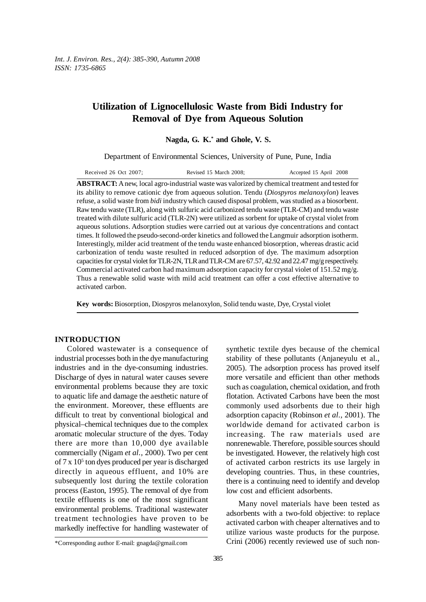# **Utilization of Lignocellulosic Waste from Bidi Industry for Removal of Dye from Aqueous Solution**

**Nagda, G. K.\* and Ghole, V. S.**

Department of Environmental Sciences, University of Pune, Pune, India

| Received 26 Oct 2007; | Revised 15 March 2008; | Accepted 15 April 2008 |
|-----------------------|------------------------|------------------------|
|-----------------------|------------------------|------------------------|

**ABSTRACT:** A new, local agro-industrial waste was valorized by chemical treatment and tested for its ability to remove cationic dye from aqueous solution. Tendu (*Diospyros melanoxylon*) leaves refuse, a solid waste from *bidi* industry which caused disposal problem, was studied as a biosorbent. Raw tendu waste (TLR), along with sulfuric acid carbonized tendu waste (TLR-CM) and tendu waste treated with dilute sulfuric acid (TLR-2N) were utilized as sorbent for uptake of crystal violet from aqueous solutions. Adsorption studies were carried out at various dye concentrations and contact times. It followed the pseudo-second-order kinetics and followed the Langmuir adsorption isotherm. Interestingly, milder acid treatment of the tendu waste enhanced biosorption, whereas drastic acid carbonization of tendu waste resulted in reduced adsorption of dye. The maximum adsorption capacities for crystal violet for TLR-2N, TLR and TLR-CM are 67.57, 42.92 and 22.47 mg/g respectively. Commercial activated carbon had maximum adsorption capacity for crystal violet of 151.52 mg/g. Thus a renewable solid waste with mild acid treatment can offer a cost effective alternative to activated carbon.

**Key words:** Biosorption, Diospyros melanoxylon, Solid tendu waste, Dye, Crystal violet

### **INTRODUCTION**

Colored wastewater is a consequence of industrial processes both in the dye manufacturing industries and in the dye-consuming industries. Discharge of dyes in natural water causes severe environmental problems because they are toxic to aquatic life and damage the aesthetic nature of the environment. Moreover, these effluents are difficult to treat by conventional biological and physical–chemical techniques due to the complex aromatic molecular structure of the dyes. Today there are more than 10,000 dye available commercially (Nigam *et al.,* 2000). Two per cent of 7 x 10<sup>5</sup> ton dyes produced per year is discharged directly in aqueous effluent, and 10% are subsequently lost during the textile coloration process (Easton, 1995). The removal of dye from textile effluents is one of the most significant environmental problems. Traditional wastewater treatment technologies have proven to be markedly ineffective for handling wastewater of synthetic textile dyes because of the chemical stability of these pollutants (Anjaneyulu et al., 2005). The adsorption process has proved itself more versatile and efficient than other methods such as coagulation, chemical oxidation, and froth flotation. Activated Carbons have been the most commonly used adsorbents due to their high adsorption capacity (Robinson *et al.,* 2001). The worldwide demand for activated carbon is increasing. The raw materials used are nonrenewable. Therefore, possible sources should be investigated. However, the relatively high cost of activated carbon restricts its use largely in developing countries. Thus, in these countries, there is a continuing need to identify and develop low cost and efficient adsorbents.

Many novel materials have been tested as adsorbents with a two-fold objective: to replace activated carbon with cheaper alternatives and to utilize various waste products for the purpose. Crini (2006) recently reviewed use of such non-

<sup>\*</sup>Corresponding author E-mail: gnagda@gmail.com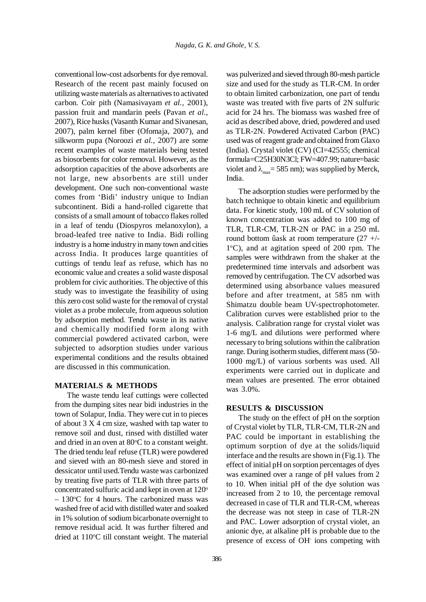conventional low-cost adsorbents for dye removal. Research of the recent past mainly focused on utilizing waste materials as alternatives to activated carbon. Coir pith (Namasivayam *et al.,* 2001), passion fruit and mandarin peels (Pavan *et al.,* 2007), Rice husks (Vasanth Kumar and Sivanesan, 2007), palm kernel fiber (Ofomaja, 2007), and silkworm pupa (Noroozi *et al.,* 2007) are some recent examples of waste materials being tested as biosorbents for color removal. However, as the adsorption capacities of the above adsorbents are not large, new absorbents are still under development. One such non-conventional waste comes from 'Bidi' industry unique to Indian subcontinent. Bidi a hand-rolled cigarette that consists of a small amount of tobacco flakes rolled in a leaf of tendu (Diospyros melanoxylon), a broad-leafed tree native to India. Bidi rolling industry is a home industry in many town and cities across India. It produces large quantities of cuttings of tendu leaf as refuse, which has no economic value and creates a solid waste disposal problem for civic authorities. The objective of this study was to investigate the feasibility of using this zero cost solid waste for the removal of crystal violet as a probe molecule, from aqueous solution by adsorption method. Tendu waste in its native and chemically modified form along with commercial powdered activated carbon, were subjected to adsorption studies under various experimental conditions and the results obtained are discussed in this communication.

### **MATERIALS & METHODS**

The waste tendu leaf cuttings were collected from the dumping sites near bidi industries in the town of Solapur, India. They were cut in to pieces of about  $3 X 4$  cm size, washed with tap water to remove soil and dust, rinsed with distilled water and dried in an oven at 80°C to a constant weight. The dried tendu leaf refuse (TLR) were powdered and sieved with an 80-mesh sieve and stored in dessicator until used.Tendu waste was carbonized by treating five parts of TLR with three parts of concentrated sulfuric acid and kept in oven at  $120^{\circ}$  $-130$ °C for 4 hours. The carbonized mass was washed free of acid with distilled water and soaked in 1% solution of sodium bicarbonate overnight to remove residual acid. It was further filtered and dried at 110°C till constant weight. The material

was pulverized and sieved through 80-mesh particle size and used for the study as TLR-CM. In order to obtain limited carbonization, one part of tendu waste was treated with five parts of 2N sulfuric acid for 24 hrs. The biomass was washed free of acid as described above, dried, powdered and used as TLR-2N. Powdered Activated Carbon (PAC) used was of reagent grade and obtained from Glaxo (India). Crystal violet (CV) (CI=42555; chemical formula=C25H30N3Cl; FW=407.99; nature=basic violet and  $\lambda_{\text{max}}$  = 585 nm); was supplied by Merck, India.

The adsorption studies were performed by the batch technique to obtain kinetic and equilibrium data. For kinetic study, 100 mL of CV solution of known concentration was added to 100 mg of TLR, TLR-CM, TLR-2N or PAC in a 250 mL round bottom ûask at room temperature (27 +/-  $1^{\circ}$ C), and at agitation speed of 200 rpm. The samples were withdrawn from the shaker at the predetermined time intervals and adsorbent was removed by centrifugation. The CV adsorbed was determined using absorbance values measured before and after treatment, at 585 nm with Shimatzu double beam UV-spectrophotometer. Calibration curves were established prior to the analysis. Calibration range for crystal violet was 1-6 mg/L and dilutions were performed where necessary to bring solutions within the calibration range. During isotherm studies, different mass (50- 1000 mg/L) of various sorbents was used. All experiments were carried out in duplicate and mean values are presented. The error obtained was 3.0%.

## **RESULTS & DISCUSSION**

The study on the effect of pH on the sorption of Crystal violet by TLR, TLR-CM, TLR-2N and PAC could be important in establishing the optimum sorption of dye at the solids/liquid interface and the results are shown in (Fig.1). The effect of initial pH on sorption percentages of dyes was examined over a range of pH values from 2 to 10. When initial pH of the dye solution was increased from 2 to 10, the percentage removal decreased in case of TLR and TLR-CM, whereas the decrease was not steep in case of TLR-2N and PAC. Lower adsorption of crystal violet, an anionic dye, at alkaline pH is probable due to the presence of excess of OH- ions competing with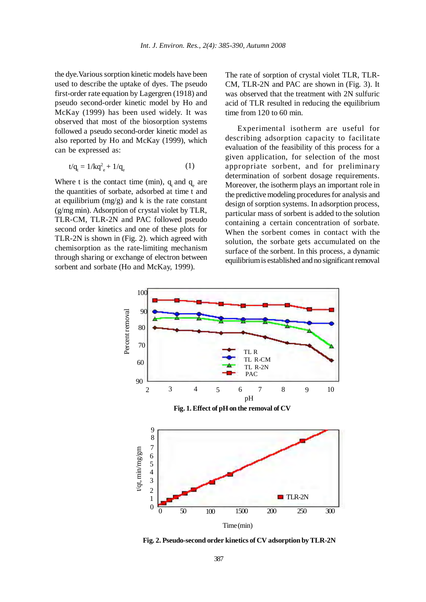the dye.Various sorption kinetic models have been used to describe the uptake of dyes. The pseudo first-order rate equation by Lagergren (1918) and pseudo second-order kinetic model by Ho and McKay (1999) has been used widely. It was observed that most of the biosorption systems followed a pseudo second-order kinetic model as also reported by Ho and McKay (1999), which can be expressed as:

$$
t/q_{t} = 1/kq_{e}^{2} + 1/q_{e}
$$
 (1)

Where t is the contact time (min),  $q_t$  and  $q_e$  are the quantities of sorbate, adsorbed at time t and at equilibrium ( $mg/g$ ) and k is the rate constant (g/mg min). Adsorption of crystal violet by TLR, TLR-CM, TLR-2N and PAC followed pseudo second order kinetics and one of these plots for TLR-2N is shown in (Fig. 2). which agreed with chemisorption as the rate-limiting mechanism through sharing or exchange of electron between sorbent and sorbate (Ho and McKay, 1999).

The rate of sorption of crystal violet TLR, TLR-CM, TLR-2N and PAC are shown in (Fig. 3). It was observed that the treatment with 2N sulfuric acid of TLR resulted in reducing the equilibrium time from 120 to 60 min.

Experimental isotherm are useful for describing adsorption capacity to facilitate evaluation of the feasibility of this process for a given application, for selection of the most appropriate sorbent, and for preliminary determination of sorbent dosage requirements. Moreover, the isotherm plays an important role in the predictive modeling procedures for analysis and design of sorption systems. In adsorption process, particular mass of sorbent is added to the solution containing a certain concentration of sorbate. When the sorbent comes in contact with the solution, the sorbate gets accumulated on the surface of the sorbent. In this process, a dynamic equilibrium is established and no significant removal



**Fig. 2. Pseudo-second order kinetics of CV adsorption by TLR-2N**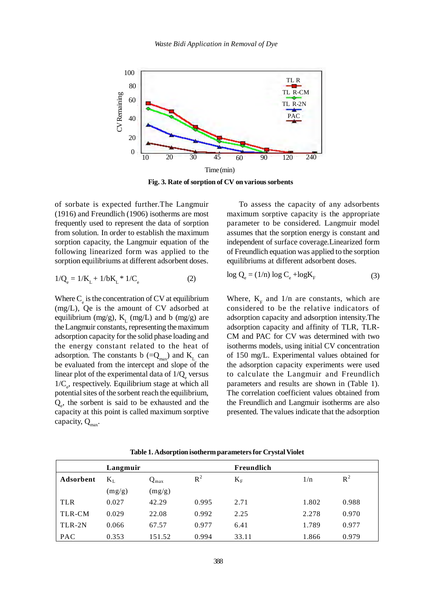

**Fig. 3. Rate of sorption of CV on various sorbents**

of sorbate is expected further.The Langmuir (1916) and Freundlich (1906) isotherms are most frequently used to represent the data of sorption from solution. In order to establish the maximum sorption capacity, the Langmuir equation of the following linearized form was applied to the sorption equilibriums at different adsorbent doses.

$$
1/Q_e = 1/K_L + 1/bK_L * 1/C_e \tag{2}
$$

Where  $C_{\rm e}$  is the concentration of CV at equilibrium (mg/L), Qe is the amount of CV adsorbed at equilibrium (mg/g),  $K_t$  (mg/L) and b (mg/g) are the Langmuir constants, representing the maximum adsorption capacity for the solid phase loading and the energy constant related to the heat of adsorption. The constants b (= $Q_{\text{max}}$ ) and K<sub>L</sub> can be evaluated from the intercept and slope of the linear plot of the experimental data of  $1/Q_e$  versus  $1/C<sub>e</sub>$ , respectively. Equilibrium stage at which all potential sites of the sorbent reach the equilibrium,  $Q_e$ , the sorbent is said to be exhausted and the capacity at this point is called maximum sorptive capacity,  $Q_{\text{max}}$ .

To assess the capacity of any adsorbents maximum sorptive capacity is the appropriate parameter to be considered. Langmuir model assumes that the sorption energy is constant and independent of surface coverage.Linearized form of Freundlich equation was applied to the sorption equilibriums at different adsorbent doses.

$$
\log Q_{\rm e} = (1/n) \log C_{\rm e} + \log K_{\rm F}
$$
 (3)

Where,  $K<sub>F</sub>$  and 1/n are constants, which are considered to be the relative indicators of adsorption capacity and adsorption intensity.The adsorption capacity and affinity of TLR, TLR-CM and PAC for CV was determined with two isotherms models, using initial CV concentration of 150 mg/L. Experimental values obtained for the adsorption capacity experiments were used to calculate the Langmuir and Freundlich parameters and results are shown in (Table 1). The correlation coefficient values obtained from the Freundlich and Langmuir isotherms are also presented. The values indicate that the adsorption

|            | Langmuir |                  |       | Freundlich  |       |       |
|------------|----------|------------------|-------|-------------|-------|-------|
| Adsorbent  | $K_{L}$  | $Q_{\text{max}}$ | $R^2$ | $K_{\rm F}$ | 1/n   | $R^2$ |
|            | (mg/g)   | (mg/g)           |       |             |       |       |
| <b>TLR</b> | 0.027    | 42.29            | 0.995 | 2.71        | 1.802 | 0.988 |
| TLR-CM     | 0.029    | 22.08            | 0.992 | 2.25        | 2.278 | 0.970 |
| TLR-2N     | 0.066    | 67.57            | 0.977 | 6.41        | 1.789 | 0.977 |
| PAC        | 0.353    | 151.52           | 0.994 | 33.11       | 1.866 | 0.979 |

**Table 1. Adsorption isotherm parameters for Crystal Violet**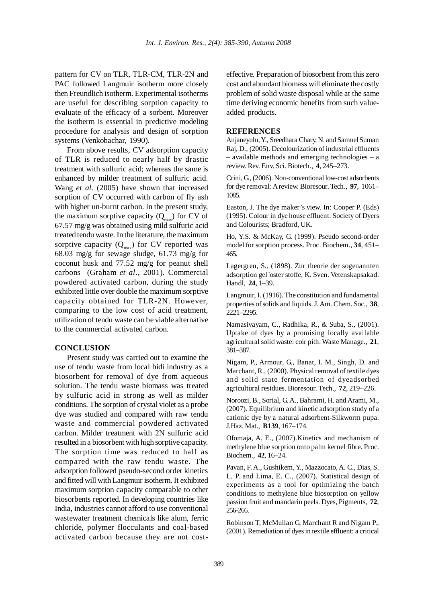pattern for CV on TLR, TLR-CM, TLR-2N and PAC followed Langmuir isotherm more closely then Freundlich isotherm. Experimental isotherms are useful for describing sorption capacity to evaluate of the efficacy of a sorbent. Moreover the isotherm is essential in predictive modeling procedure for analysis and design of sorption systems (Venkobachar, 1990).

From above results, CV adsorption capacity of TLR is reduced to nearly half by drastic treatment with sulfuric acid; whereas the same is enhanced by milder treatment of sulfuric acid. Wang *et al.* (2005) have shown that increased sorption of CV occurred with carbon of fly ash with higher un-burnt carbon. In the present study, the maximum sorptive capacity  $(Q<sub>max</sub>)$  for CV of 67.57 mg/g was obtained using mild sulfuric acid treated tendu waste. In the literature, the maximum sorptive capacity  $(Q<sub>max</sub>)$  for CV reported was 68.03 mg/g for sewage sludge, 61.73 mg/g for coconut husk and 77.52 mg/g for peanut shell carbons (Graham *et al.,* 2001). Commercial powdered activated carbon, during the study exhibited little over double the maximum sorptive capacity obtained for TLR-2N. However, comparing to the low cost of acid treatment, utilization of tendu waste can be viable alternative to the commercial activated carbon.

### **CONCLUSION**

Present study was carried out to examine the use of tendu waste from local bidi industry as a biosorbent for removal of dye from aqueous solution. The tendu waste biomass was treated by sulfuric acid in strong as well as milder conditions. The sorption of crystal violet as a probe dye was studied and compared with raw tendu waste and commercial powdered activated carbon. Milder treatment with 2N sulfuric acid resulted in a biosorbent with high sorptive capacity. The sorption time was reduced to half as compared with the raw tendu waste. The adsorption followed pseudo-second order kinetics and fitted will with Langmuir isotherm. It exhibited maximum sorption capacity comparable to other biosorbents reported. In developing countries like India, industries cannot afford to use conventional wastewater treatment chemicals like alum, ferric chloride, polymer flocculants and coal-based activated carbon because they are not costeffective. Preparation of biosorbent from this zero cost and abundant biomass will eliminate the costly problem of solid waste disposal while at the same time deriving economic benefits from such valueadded products.

### **REFERENCES**

Anjaneyulu, Y., Sreedhara Chary, N. and Samuel Suman Raj, D., (2005). Decolourization of industrial effluents – available methods and emerging technologies – a review. Rev. Env. Sci. Biotech., **4**, 245–273.

Crini, G., (2006). Non-conventional low-cost adsorbents for dye removal: A review. Bioresour. Tech., **97**, 1061– 1085.

Easton, J. The dye maker's view. In: Cooper P. (Eds) (1995). Colour in dye house effluent. Society of Dyers and Colourists; Bradford, UK.

Ho, Y.S. & McKay, G. (1999). Pseudo second-order model for sorption process. Proc. Biochem., **34**, 451– 465.

Lagergren, S., (1898). Zur theorie der sogenannten adsorption gel¨oster stoffe, K. Sven. Vetenskapsakad. Handl, **24**, 1–39.

Langmuir, I. (1916). The constitution and fundamental properties of solids and liquids. J. Am. Chem. Soc., **38**, 2221–2295.

Namasivayam, C., Radhika, R., & Suba, S., (2001). Uptake of dyes by a promising locally available agricultural solid waste: coir pith. Waste Manage., **21**, 381–387.

Nigam, P., Armour, G., Banat, I. M., Singh, D. and Marchant, R., (2000). Physical removal of textile dyes and solid state fermentation of dyeadsorbed agricultural residues. Bioresour. Tech., **72**, 219–226.

Noroozi, B., Sorial, G. A., Bahrami, H. and Arami, M., (2007). Equilibrium and kinetic adsorption study of a cationic dye by a natural adsorbent-Silkworm pupa. J.Haz. Mat., **B139**, 167–174.

Ofomaja, A. E., (2007).Kinetics and mechanism of methylene blue sorption onto palm kernel fibre. Proc. Biochem., **42**, 16–24.

Pavan, F. A., Gushikem, Y., Mazzocato, A. C., Dias, S. L. P. and Lima, E. C., (2007). Statistical design of experiments as a tool for optimizing the batch conditions to methylene blue biosorption on yellow passion fruit and mandarin peels. Dyes, Pigments, **72**, 256-266.

Robinson T, McMullan G, Marchant R and Nigam P., (2001). Remediation of dyes in textile effluent: a critical